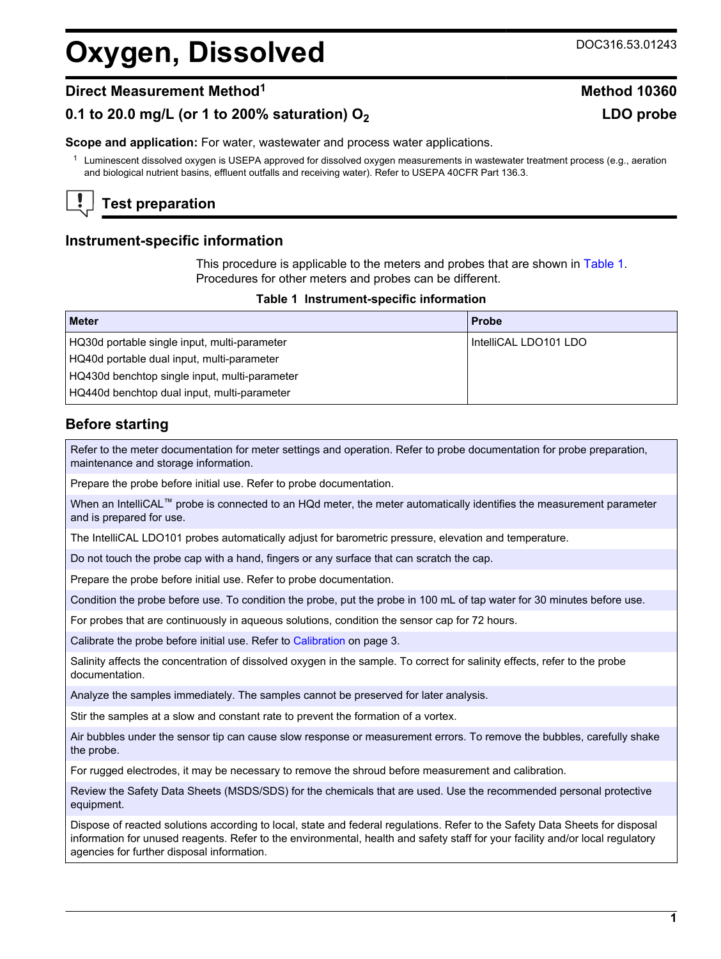# **Oxygen, Dissolved** DOC316.53.01243

### **0.1 to 20.0 mg/L (or 1 to 200% saturation) O<sup>2</sup> LDO probe**

**Scope and application:** For water, wastewater and process water applications.

 $1$  Luminescent dissolved oxygen is USEPA approved for dissolved oxygen measurements in wastewater treatment process (e.g., aeration and biological nutrient basins, effluent outfalls and receiving water). Refer to USEPA 40CFR Part 136.3.

# **Test preparation**

#### **Instrument-specific information**

This procedure is applicable to the meters and probes that are shown in [Table 1.](#page-0-0) Procedures for other meters and probes can be different.

#### **Table 1 Instrument-specific information**

<span id="page-0-0"></span>

| <b>Meter</b>                                  | <b>Probe</b>          |
|-----------------------------------------------|-----------------------|
| HQ30d portable single input, multi-parameter  | IntelliCAL LDO101 LDO |
| HQ40d portable dual input, multi-parameter    |                       |
| HQ430d benchtop single input, multi-parameter |                       |
| HQ440d benchtop dual input, multi-parameter   |                       |

#### **Before starting**

Refer to the meter documentation for meter settings and operation. Refer to probe documentation for probe preparation, maintenance and storage information.

Prepare the probe before initial use. Refer to probe documentation.

When an IntelliCAL™ probe is connected to an HQd meter, the meter automatically identifies the measurement parameter and is prepared for use.

The IntelliCAL LDO101 probes automatically adjust for barometric pressure, elevation and temperature.

Do not touch the probe cap with a hand, fingers or any surface that can scratch the cap.

Prepare the probe before initial use. Refer to probe documentation.

Condition the probe before use. To condition the probe, put the probe in 100 mL of tap water for 30 minutes before use.

For probes that are continuously in aqueous solutions, condition the sensor cap for 72 hours.

Calibrate the probe before initial use. Refer to [Calibration](#page-2-0) on page 3.

Salinity affects the concentration of dissolved oxygen in the sample. To correct for salinity effects, refer to the probe documentation.

Analyze the samples immediately. The samples cannot be preserved for later analysis.

Stir the samples at a slow and constant rate to prevent the formation of a vortex.

Air bubbles under the sensor tip can cause slow response or measurement errors. To remove the bubbles, carefully shake the probe.

For rugged electrodes, it may be necessary to remove the shroud before measurement and calibration.

Review the Safety Data Sheets (MSDS/SDS) for the chemicals that are used. Use the recommended personal protective equipment.

Dispose of reacted solutions according to local, state and federal regulations. Refer to the Safety Data Sheets for disposal information for unused reagents. Refer to the environmental, health and safety staff for your facility and/or local regulatory agencies for further disposal information.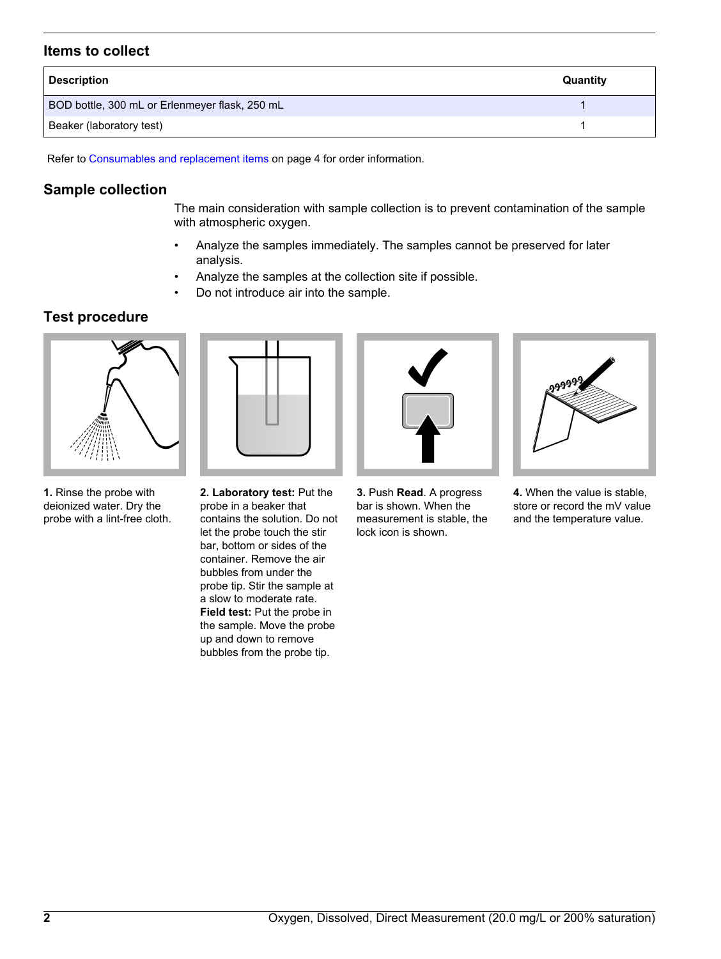#### **Items to collect**

| <b>Description</b>                             | Quantity |
|------------------------------------------------|----------|
| BOD bottle, 300 mL or Erlenmeyer flask, 250 mL |          |
| Beaker (laboratory test)                       |          |

Refer to [Consumables and replacement items](#page-3-0) on page 4 for order information.

#### **Sample collection**

The main consideration with sample collection is to prevent contamination of the sample with atmospheric oxygen.

- Analyze the samples immediately. The samples cannot be preserved for later analysis.
- Analyze the samples at the collection site if possible.
- Do not introduce air into the sample.

#### **Test procedure**



**1.** Rinse the probe with deionized water. Dry the probe with a lint-free cloth.

**2. Laboratory test:** Put the probe in a beaker that contains the solution. Do not let the probe touch the stir bar, bottom or sides of the container. Remove the air bubbles from under the probe tip. Stir the sample at a slow to moderate rate. **Field test:** Put the probe in the sample. Move the probe up and down to remove bubbles from the probe tip.



**3.** Push **Read**. A progress bar is shown. When the measurement is stable, the lock icon is shown.



**4.** When the value is stable, store or record the mV value and the temperature value.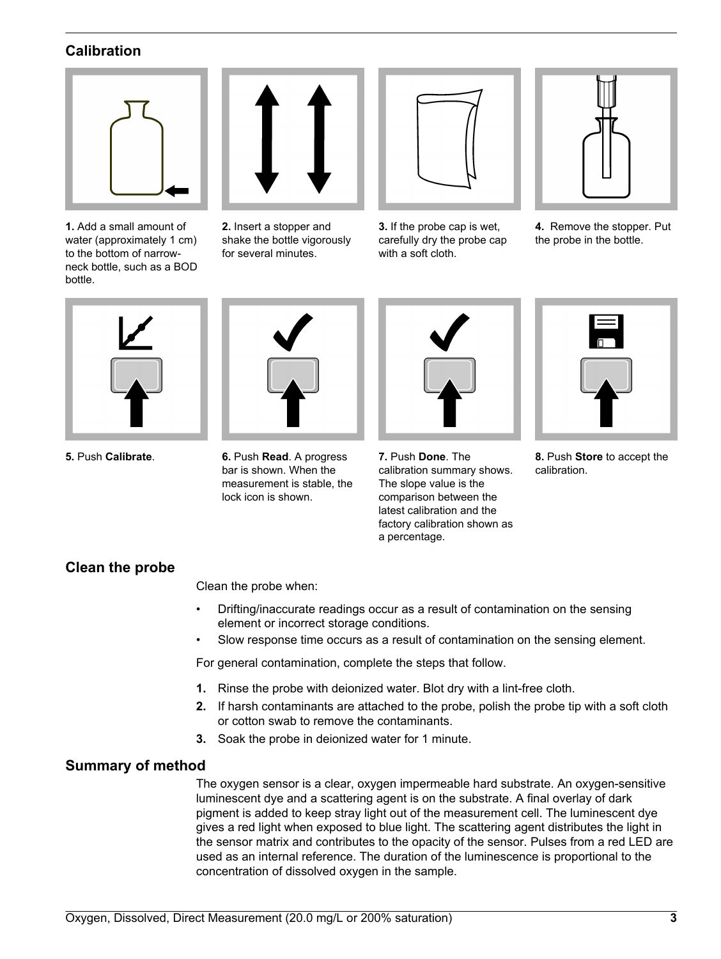#### **Calibration**

<span id="page-2-0"></span>

**1.** Add a small amount of water (approximately 1 cm) to the bottom of narrowneck bottle, such as a BOD bottle.



**2.** Insert a stopper and shake the bottle vigorously for several minutes.



**3.** If the probe cap is wet, carefully dry the probe cap with a soft cloth.



**4.** Remove the stopper. Put the probe in the bottle.





**5.** Push **Calibrate**. **6.** Push **Read**. A progress bar is shown. When the measurement is stable, the lock icon is shown.

| Í |  |
|---|--|
| ♦ |  |

**7.** Push **Done**. The calibration summary shows. The slope value is the comparison between the latest calibration and the factory calibration shown as a percentage.



**8.** Push **Store** to accept the calibration.

#### **Clean the probe**

Clean the probe when:

- Drifting/inaccurate readings occur as a result of contamination on the sensing element or incorrect storage conditions.
- Slow response time occurs as a result of contamination on the sensing element.

For general contamination, complete the steps that follow.

- **1.** Rinse the probe with deionized water. Blot dry with a lint-free cloth.
- **2.** If harsh contaminants are attached to the probe, polish the probe tip with a soft cloth or cotton swab to remove the contaminants.
- **3.** Soak the probe in deionized water for 1 minute.

#### **Summary of method**

The oxygen sensor is a clear, oxygen impermeable hard substrate. An oxygen-sensitive luminescent dye and a scattering agent is on the substrate. A final overlay of dark pigment is added to keep stray light out of the measurement cell. The luminescent dye gives a red light when exposed to blue light. The scattering agent distributes the light in the sensor matrix and contributes to the opacity of the sensor. Pulses from a red LED are used as an internal reference. The duration of the luminescence is proportional to the concentration of dissolved oxygen in the sample.